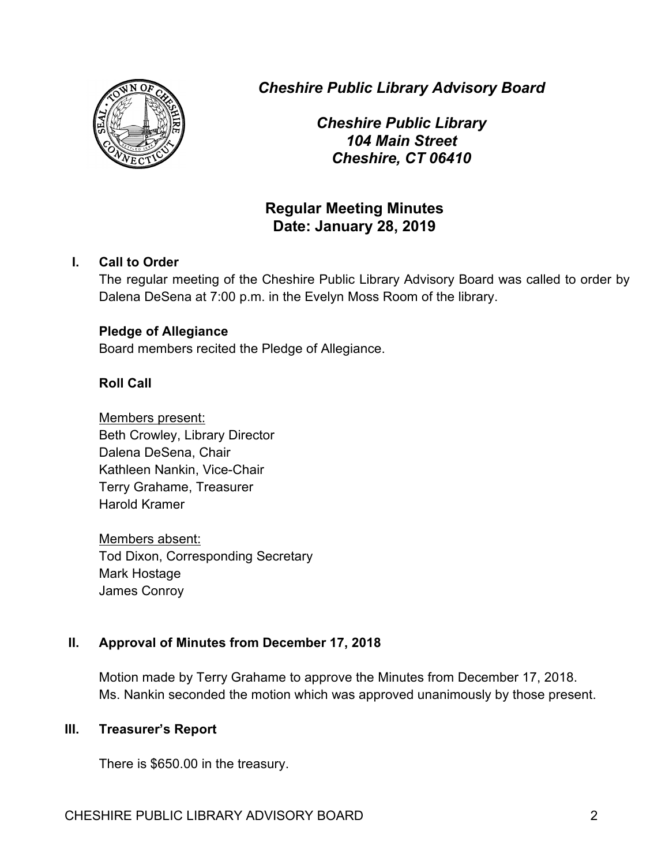

*Cheshire Public Library Advisory Board*

*Cheshire Public Library 104 Main Street Cheshire, CT 06410*

# **Regular Meeting Minutes Date: January 28, 2019**

# **I. Call to Order**

The regular meeting of the Cheshire Public Library Advisory Board was called to order by Dalena DeSena at 7:00 p.m. in the Evelyn Moss Room of the library.

## **Pledge of Allegiance**

Board members recited the Pledge of Allegiance.

# **Roll Call**

Members present: Beth Crowley, Library Director Dalena DeSena, Chair Kathleen Nankin, Vice-Chair Terry Grahame, Treasurer Harold Kramer

Members absent: Tod Dixon, Corresponding Secretary Mark Hostage James Conroy

# **II. Approval of Minutes from December 17, 2018**

Motion made by Terry Grahame to approve the Minutes from December 17, 2018. Ms. Nankin seconded the motion which was approved unanimously by those present.

## **III. Treasurer's Report**

There is \$650.00 in the treasury.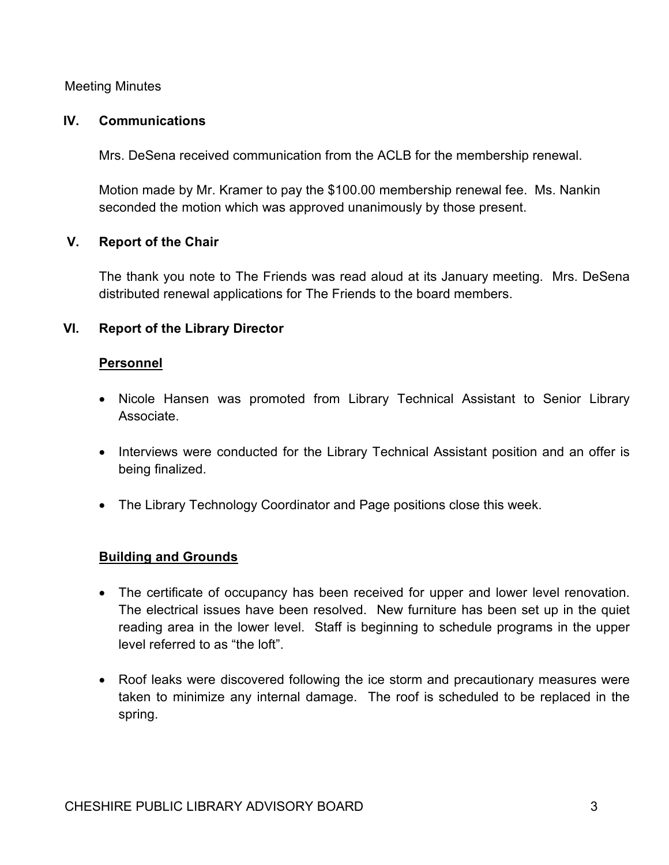#### Meeting Minutes

#### **IV. Communications**

Mrs. DeSena received communication from the ACLB for the membership renewal.

Motion made by Mr. Kramer to pay the \$100.00 membership renewal fee. Ms. Nankin seconded the motion which was approved unanimously by those present.

## **V. Report of the Chair**

The thank you note to The Friends was read aloud at its January meeting. Mrs. DeSena distributed renewal applications for The Friends to the board members.

## **VI. Report of the Library Director**

#### **Personnel**

- Nicole Hansen was promoted from Library Technical Assistant to Senior Library Associate.
- Interviews were conducted for the Library Technical Assistant position and an offer is being finalized.
- The Library Technology Coordinator and Page positions close this week.

## **Building and Grounds**

- The certificate of occupancy has been received for upper and lower level renovation. The electrical issues have been resolved. New furniture has been set up in the quiet reading area in the lower level. Staff is beginning to schedule programs in the upper level referred to as "the loft".
- Roof leaks were discovered following the ice storm and precautionary measures were taken to minimize any internal damage. The roof is scheduled to be replaced in the spring.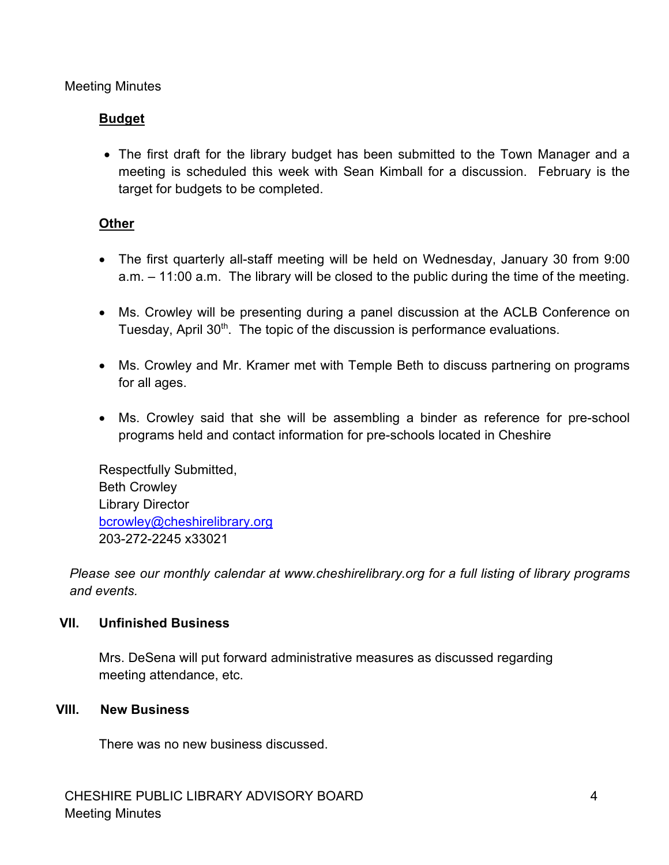#### Meeting Minutes

# **Budget**

• The first draft for the library budget has been submitted to the Town Manager and a meeting is scheduled this week with Sean Kimball for a discussion. February is the target for budgets to be completed.

## **Other**

- The first quarterly all-staff meeting will be held on Wednesday, January 30 from 9:00 a.m. – 11:00 a.m. The library will be closed to the public during the time of the meeting.
- Ms. Crowley will be presenting during a panel discussion at the ACLB Conference on Tuesday, April 30<sup>th</sup>. The topic of the discussion is performance evaluations.
- Ms. Crowley and Mr. Kramer met with Temple Beth to discuss partnering on programs for all ages.
- Ms. Crowley said that she will be assembling a binder as reference for pre-school programs held and contact information for pre-schools located in Cheshire

Respectfully Submitted, Beth Crowley Library Director bcrowley@cheshirelibrary.org 203-272-2245 x33021

*Please see our monthly calendar at www.cheshirelibrary.org for a full listing of library programs and events.*

## **VII. Unfinished Business**

Mrs. DeSena will put forward administrative measures as discussed regarding meeting attendance, etc.

#### **VIII. New Business**

There was no new business discussed.